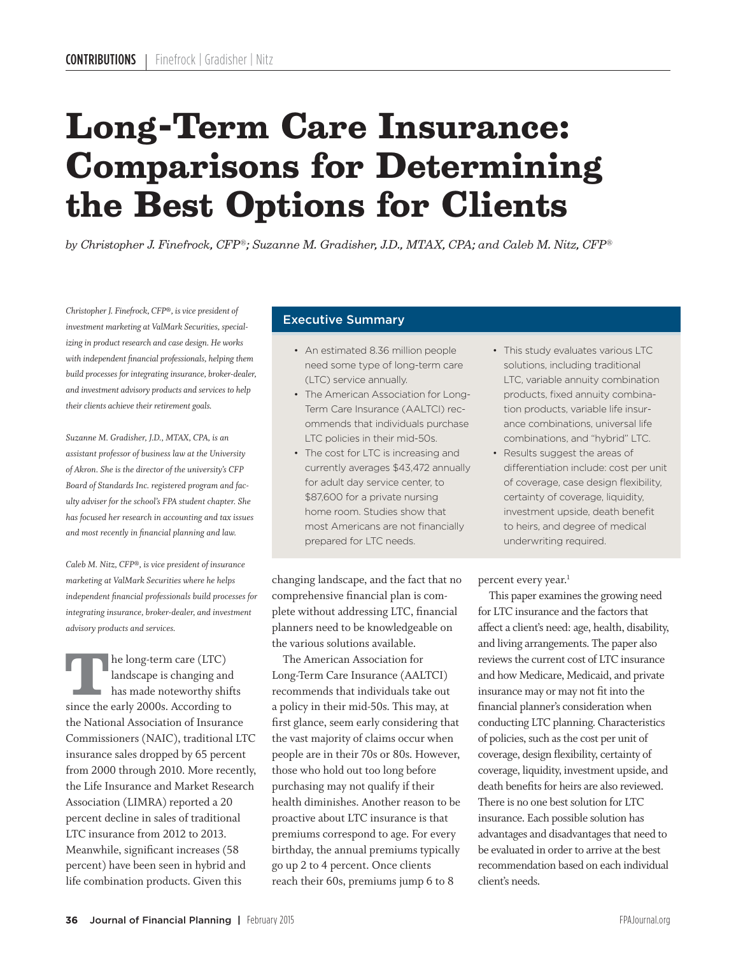# **Long-Term Care Insurance:**  the Best Options for Clients

*by Christopher J. Finefrock, CFP®; Suzanne M. Gradisher, J.D., MTAX, CPA; and Caleb M. Nitz, CFP®* 

*Christopher J. Finefrock, CFP®, is vice president of investment marketing at ValMark Securities, specializing in product research and case design. He works with independent financial professionals, helping them build processes for integrating insurance, broker-dealer, and investment advisory products and services to help their clients achieve their retirement goals.*

*Suzanne M. Gradisher, J.D., MTAX, CPA, is an assistant professor of business law at the University of Akron. She is the director of the university's CFP Board of Standards Inc. registered program and faculty adviser for the school's FPA student chapter. She has focused her research in accounting and tax issues and most recently in financial planning and law.*

*Caleb M. Nitz, CFP®, is vice president of insurance marketing at ValMark Securities where he helps independent financial professionals build processes for integrating insurance, broker-dealer, and investment advisory products and services.* 

The long-term care (LTC)<br>
landscape is changing and<br>
has made noteworthy shifts<br>
since the early 2000s. According to<br>
the National Association of Insurance<br>
Commissioners (NAIC), traditional LTC landscape is changing and has made noteworthy shifts since the early 2000s. According to the National Association of Insurance insurance sales dropped by 65 percent from 2000 through 2010. More recently, the Life Insurance and Market Research Association (LIMRA) reported a 20 percent decline in sales of traditional LTC insurance from 2012 to 2013. Meanwhile, significant increases (58 percent) have been seen in hybrid and life combination products. Given this

## Executive Summary

- An estimated 8.36 million people need some type of long-term care (LTC) service annually.
- The American Association for Long-Term Care Insurance (AALTCI) recommends that individuals purchase LTC policies in their mid-50s.
- The cost for LTC is increasing and currently averages \$43,472 annually for adult day service center, to \$87,600 for a private nursing home room. Studies show that most Americans are not financially prepared for LTC needs.

changing landscape, and the fact that no comprehensive financial plan is complete without addressing LTC, financial planners need to be knowledgeable on the various solutions available.

 The American Association for Long-Term Care Insurance (AALTCI) recommends that individuals take out a policy in their mid-50s. This may, at first glance, seem early considering that the vast majority of claims occur when people are in their 70s or 80s. However, those who hold out too long before purchasing may not qualify if their health diminishes. Another reason to be proactive about LTC insurance is that premiums correspond to age. For every birthday, the annual premiums typically go up 2 to 4 percent. Once clients reach their 60s, premiums jump 6 to 8

- This study evaluates various LTC solutions, including traditional LTC, variable annuity combination products, fixed annuity combination products, variable life insurance combinations, universal life combinations, and "hybrid" LTC.
- Results suggest the areas of differentiation include: cost per unit of coverage, case design flexibility, certainty of coverage, liquidity, investment upside, death benefit to heirs, and degree of medical underwriting required.

percent every year.<sup>1</sup>

 This paper examines the growing need for LTC insurance and the factors that affect a client's need: age, health, disability, and living arrangements. The paper also reviews the current cost of LTC insurance and how Medicare, Medicaid, and private insurance may or may not fit into the financial planner's consideration when conducting LTC planning. Characteristics of policies, such as the cost per unit of coverage, design flexibility, certainty of coverage, liquidity, investment upside, and death benefits for heirs are also reviewed. There is no one best solution for LTC insurance. Each possible solution has advantages and disadvantages that need to be evaluated in order to arrive at the best recommendation based on each individual client's needs.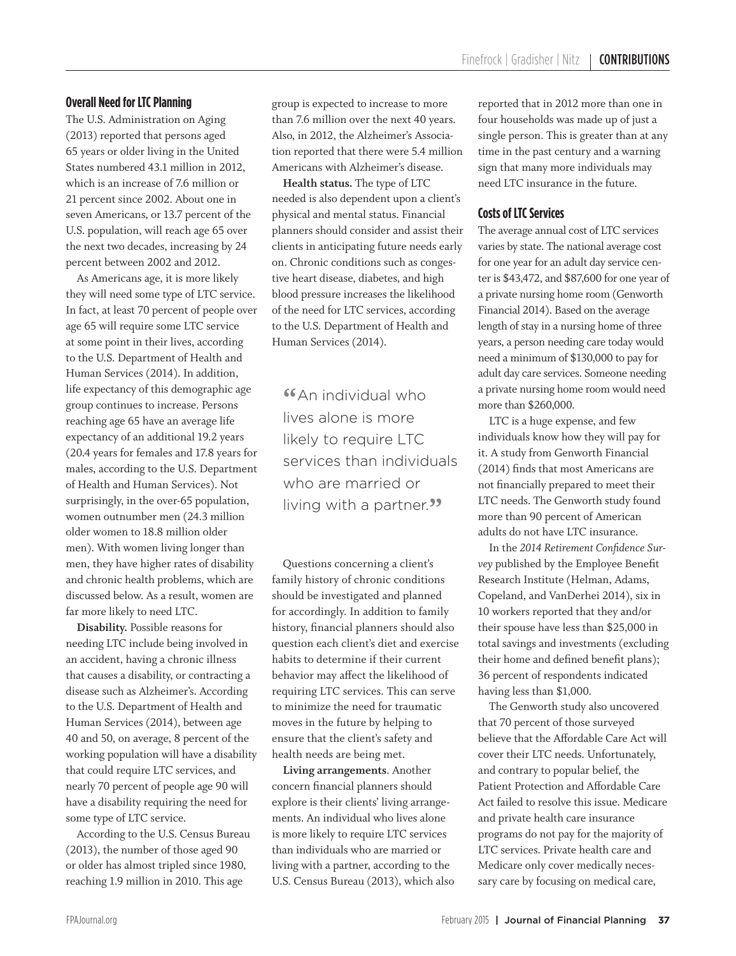#### **Overall Need for LTC Planning**

The U.S. Administration on Aging (2013) reported that persons aged 65 years or older living in the United States numbered 43.1 million in 2012, which is an increase of 7.6 million or 21 percent since 2002. About one in seven Americans, or 13.7 percent of the U.S. population, will reach age 65 over the next two decades, increasing by 24 percent between 2002 and 2012.

 As Americans age, it is more likely they will need some type of LTC service. In fact, at least 70 percent of people over age 65 will require some LTC service at some point in their lives, according to the U.S. Department of Health and Human Services (2014). In addition, life expectancy of this demographic age group continues to increase. Persons reaching age 65 have an average life expectancy of an additional 19.2 years (20.4 years for females and 17.8 years for males, according to the U.S. Department of Health and Human Services). Not surprisingly, in the over-65 population, women outnumber men (24.3 million older women to 18.8 million older men). With women living longer than men, they have higher rates of disability and chronic health problems, which are discussed below. As a result, women are far more likely to need LTC.

**Disability.** Possible reasons for needing LTC include being involved in an accident, having a chronic illness that causes a disability, or contracting a disease such as Alzheimer's. According to the U.S. Department of Health and Human Services (2014), between age 40 and 50, on average, 8 percent of the working population will have a disability that could require LTC services, and nearly 70 percent of people age 90 will have a disability requiring the need for some type of LTC service.

 According to the U.S. Census Bureau (2013), the number of those aged 90 or older has almost tripled since 1980, reaching 1.9 million in 2010. This age

group is expected to increase to more than 7.6 million over the next 40 years. Also, in 2012, the Alzheimer's Association reported that there were 5.4 million Americans with Alzheimer's disease.

**Health status.** The type of LTC needed is also dependent upon a client's physical and mental status. Financial planners should consider and assist their clients in anticipating future needs early on. Chronic conditions such as congestive heart disease, diabetes, and high blood pressure increases the likelihood of the need for LTC services, according to the U.S. Department of Health and Human Services (2014).

**"**An individual who lives alone is more likely to require LTC services than individuals who are married or living with a partner.<sup>33</sup>

 Questions concerning a client's family history of chronic conditions should be investigated and planned for accordingly. In addition to family history, financial planners should also question each client's diet and exercise habits to determine if their current behavior may affect the likelihood of requiring LTC services. This can serve to minimize the need for traumatic moves in the future by helping to ensure that the client's safety and health needs are being met.

**Living arrangements**. Another concern financial planners should explore is their clients' living arrangements. An individual who lives alone is more likely to require LTC services than individuals who are married or living with a partner, according to the U.S. Census Bureau (2013), which also reported that in 2012 more than one in four households was made up of just a single person. This is greater than at any time in the past century and a warning sign that many more individuals may need LTC insurance in the future.

#### **Costs of LTC Services**

The average annual cost of LTC services varies by state. The national average cost for one year for an adult day service center is \$43,472, and \$87,600 for one year of a private nursing home room (Genworth Financial 2014). Based on the average length of stay in a nursing home of three years, a person needing care today would need a minimum of \$130,000 to pay for adult day care services. Someone needing a private nursing home room would need more than \$260,000.

 LTC is a huge expense, and few individuals know how they will pay for it. A study from Genworth Financial (2014) finds that most Americans are not financially prepared to meet their LTC needs. The Genworth study found more than 90 percent of American adults do not have LTC insurance.

 In the *2014 Retirement Confidence Survey* published by the Employee Benefit Research Institute (Helman, Adams, Copeland, and VanDerhei 2014), six in 10 workers reported that they and/or their spouse have less than \$25,000 in total savings and investments (excluding their home and defined benefit plans); 36 percent of respondents indicated having less than \$1,000.

 The Genworth study also uncovered that 70 percent of those surveyed believe that the Affordable Care Act will cover their LTC needs. Unfortunately, and contrary to popular belief, the Patient Protection and Affordable Care Act failed to resolve this issue. Medicare and private health care insurance programs do not pay for the majority of LTC services. Private health care and Medicare only cover medically necessary care by focusing on medical care,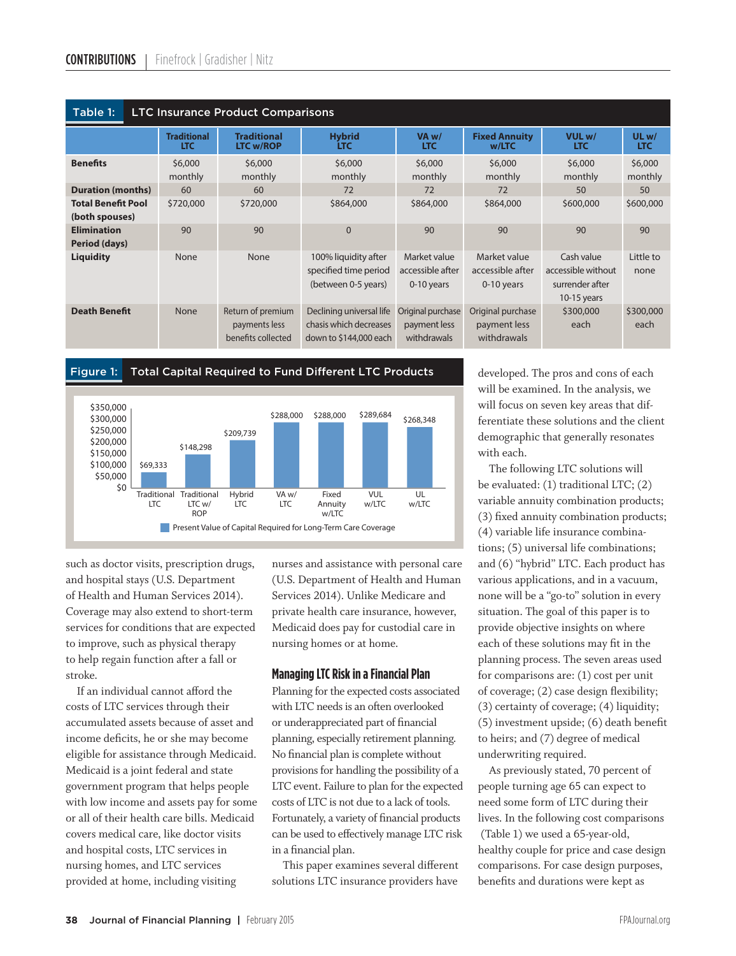| Table 1:<br><b>LTC Insurance Product Comparisons</b> |                                  |                                                          |                                                                              |                                                  |                                                  |                                                                      |                    |  |  |  |  |  |  |
|------------------------------------------------------|----------------------------------|----------------------------------------------------------|------------------------------------------------------------------------------|--------------------------------------------------|--------------------------------------------------|----------------------------------------------------------------------|--------------------|--|--|--|--|--|--|
|                                                      | <b>Traditional</b><br><b>LTC</b> | <b>Traditional</b><br><b>LTC w/ROP</b>                   | <b>Hybrid</b><br><b>LTC</b>                                                  | VA <sub>w</sub> /<br><b>LTC</b>                  | <b>Fixed Annuity</b><br>w/LTC                    | VUL w/<br><b>LTC</b>                                                 | ULw/<br><b>LTC</b> |  |  |  |  |  |  |
| <b>Benefits</b>                                      | \$6,000<br>monthly               | \$6,000<br>monthly                                       | \$6,000<br>monthly                                                           | \$6,000<br>monthly                               | \$6,000<br>monthly                               | \$6,000<br>monthly                                                   | \$6,000<br>monthly |  |  |  |  |  |  |
| <b>Duration (months)</b>                             | 60                               | 60                                                       | 72                                                                           | 72                                               | 72                                               | 50                                                                   | 50                 |  |  |  |  |  |  |
| <b>Total Benefit Pool</b><br>(both spouses)          | \$720,000                        | \$720,000                                                | \$864,000                                                                    | \$864,000                                        | \$864,000                                        | \$600,000                                                            | \$600,000          |  |  |  |  |  |  |
| <b>Elimination</b><br>Period (days)                  | 90                               | 90                                                       | $\Omega$                                                                     | 90                                               | 90                                               | 90                                                                   | 90                 |  |  |  |  |  |  |
| <b>Liquidity</b>                                     | <b>None</b>                      | None                                                     | 100% liquidity after<br>specified time period<br>(between 0-5 years)         | Market value<br>accessible after<br>0-10 years   | Market value<br>accessible after<br>0-10 years   | Cash value<br>accessible without<br>surrender after<br>$10-15$ years | Little to<br>none  |  |  |  |  |  |  |
| <b>Death Benefit</b>                                 | <b>None</b>                      | Return of premium<br>payments less<br>benefits collected | Declining universal life<br>chasis which decreases<br>down to \$144,000 each | Original purchase<br>payment less<br>withdrawals | Original purchase<br>payment less<br>withdrawals | \$300,000<br>each                                                    | \$300,000<br>each  |  |  |  |  |  |  |





such as doctor visits, prescription drugs, and hospital stays (U.S. Department of Health and Human Services 2014). Coverage may also extend to short-term services for conditions that are expected to improve, such as physical therapy to help regain function after a fall or stroke.

If an individual cannot afford the costs of LTC services through their accumulated assets because of asset and income deficits, he or she may become eligible for assistance through Medicaid. Medicaid is a joint federal and state government program that helps people with low income and assets pay for some or all of their health care bills. Medicaid covers medical care, like doctor visits and hospital costs, LTC services in nursing homes, and LTC services provided at home, including visiting

nurses and assistance with personal care (U.S. Department of Health and Human Services 2014). Unlike Medicare and private health care insurance, however, Medicaid does pay for custodial care in nursing homes or at home.

**Managing LTC Risk in a Financial Plan** Planning for the expected costs associated with LTC needs is an often overlooked or underappreciated part of financial planning, especially retirement planning. No financial plan is complete without provisions for handling the possibility of a LTC event. Failure to plan for the expected costs of LTC is not due to a lack of tools. Fortunately, a variety of financial products can be used to effectively manage LTC risk in a financial plan.

This paper examines several different solutions LTC insurance providers have

developed. The pros and cons of each will be examined. In the analysis, we will focus on seven key areas that differentiate these solutions and the client demographic that generally resonates with each.

 The following LTC solutions will be evaluated: (1) traditional LTC; (2) variable annuity combination products; (3) fixed annuity combination products; (4) variable life insurance combinations; (5) universal life combinations; and (6) "hybrid" LTC. Each product has various applications, and in a vacuum, none will be a "go-to" solution in every situation. The goal of this paper is to provide objective insights on where each of these solutions may fit in the planning process. The seven areas used for comparisons are: (1) cost per unit of coverage;  $(2)$  case design flexibility; (3) certainty of coverage; (4) liquidity;  $(5)$  investment upside;  $(6)$  death benefit to heirs; and (7) degree of medical underwriting required.

 As previously stated, 70 percent of people turning age 65 can expect to need some form of LTC during their lives. In the following cost comparisons (Table 1) we used a 65-year-old, healthy couple for price and case design comparisons. For case design purposes, benefits and durations were kept as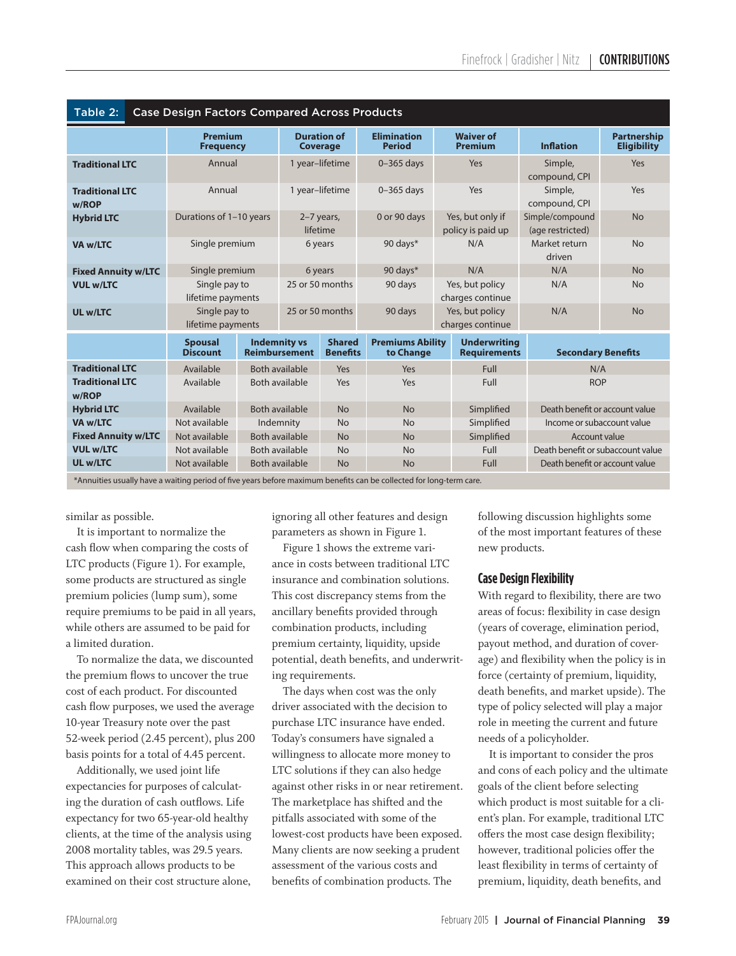| <b>Case Design Factors Compared Across Products</b><br>Table 2:                                                  |                                    |                |                                             |                                  |                                      |      |                                            |                                     |                                          |  |
|------------------------------------------------------------------------------------------------------------------|------------------------------------|----------------|---------------------------------------------|----------------------------------|--------------------------------------|------|--------------------------------------------|-------------------------------------|------------------------------------------|--|
|                                                                                                                  | <b>Premium</b><br><b>Frequency</b> |                | <b>Duration of</b><br><b>Coverage</b>       |                                  | <b>Elimination</b><br><b>Period</b>  |      | <b>Waiver of</b><br><b>Premium</b>         | <b>Inflation</b>                    | <b>Partnership</b><br><b>Eligibility</b> |  |
| Annual<br><b>Traditional LTC</b>                                                                                 |                                    |                | 1 year-lifetime                             |                                  | $0-365$ days                         |      | Yes                                        | Simple,<br>compound, CPI            | Yes                                      |  |
| <b>Traditional LTC</b><br>w/ROP                                                                                  | Annual                             |                | 1 year-lifetime                             |                                  | $0-365$ days                         |      | Yes                                        | Simple,<br>compound, CPI            | Yes                                      |  |
| <b>Hybrid LTC</b>                                                                                                | Durations of 1-10 years            |                | 2-7 years,<br>lifetime                      |                                  | 0 or 90 days                         |      | Yes, but only if<br>policy is paid up      | Simple/compound<br>(age restricted) | <b>No</b>                                |  |
| <b>VA w/LTC</b>                                                                                                  | Single premium                     |                | 6 years                                     |                                  | 90 days*                             |      | N/A                                        | Market return<br>driven             | <b>No</b>                                |  |
| Single premium<br><b>Fixed Annuity w/LTC</b>                                                                     |                                    |                | 6 years                                     |                                  | 90 days*                             |      | N/A                                        | N/A                                 | <b>No</b>                                |  |
| <b>VUL w/LTC</b>                                                                                                 | Single pay to<br>lifetime payments |                | 25 or 50 months                             |                                  | 90 days                              |      | Yes, but policy<br>charges continue        | N/A                                 | <b>No</b>                                |  |
| <b>UL w/LTC</b>                                                                                                  | Single pay to<br>lifetime payments |                | 25 or 50 months                             |                                  | 90 days                              |      | Yes, but policy<br>charges continue        | N/A                                 | <b>No</b>                                |  |
|                                                                                                                  | <b>Spousal</b><br><b>Discount</b>  |                | <b>Indemnity vs</b><br><b>Reimbursement</b> | <b>Shared</b><br><b>Benefits</b> | <b>Premiums Ability</b><br>to Change |      | <b>Underwriting</b><br><b>Requirements</b> | <b>Secondary Benefits</b>           |                                          |  |
| <b>Traditional LTC</b>                                                                                           | Available                          | Both available | Yes                                         |                                  | Yes                                  |      | Full                                       | N/A                                 |                                          |  |
| <b>Traditional LTC</b><br>w/ROP                                                                                  | Available                          |                | Both available<br>Yes                       |                                  | Yes                                  |      | Full                                       | <b>ROP</b>                          |                                          |  |
| <b>Hybrid LTC</b>                                                                                                | Available                          |                | Both available<br><b>No</b>                 |                                  | <b>No</b>                            |      | Simplified                                 | Death benefit or account value      |                                          |  |
| VA w/LTC                                                                                                         | Not available                      |                | Indemnity<br><b>No</b>                      |                                  | <b>No</b>                            |      | Simplified                                 | Income or subaccount value          |                                          |  |
| <b>Fixed Annuity w/LTC</b>                                                                                       | Not available                      |                | Both available<br><b>No</b>                 |                                  | <b>No</b>                            |      | Simplified                                 | Account value                       |                                          |  |
| <b>VUL w/LTC</b>                                                                                                 | Not available                      |                | <b>Both available</b><br><b>No</b>          |                                  | <b>No</b>                            | Full |                                            | Death benefit or subaccount value   |                                          |  |
| <b>UL w/LTC</b>                                                                                                  | Not available                      |                | <b>Both available</b>                       | <b>No</b>                        | <b>No</b>                            | Full |                                            | Death benefit or account value      |                                          |  |
| *Annuities usually have a waiting napied of fun your hofers merrine up benefits son he sallested fou langue town |                                    |                |                                             |                                  |                                      |      |                                            |                                     |                                          |  |

\*Annuities usually have a waiting period of five years before maximum benefits can be collected for long-term care. Ϊ

similar as possible.

 It is important to normalize the cash flow when comparing the costs of LTC products (Figure 1). For example, some products are structured as single premium policies (lump sum), some require premiums to be paid in all years, while others are assumed to be paid for a limited duration.

 To normalize the data, we discounted the premium flows to uncover the true cost of each product. For discounted cash flow purposes, we used the average 10-year Treasury note over the past 52-week period (2.45 percent), plus 200 basis points for a total of 4.45 percent.

 Additionally, we used joint life expectancies for purposes of calculating the duration of cash outflows. Life expectancy for two 65-year-old healthy clients, at the time of the analysis using 2008 mortality tables, was 29.5 years. This approach allows products to be examined on their cost structure alone,

ignoring all other features and design parameters as shown in Figure 1.

 Figure 1 shows the extreme variance in costs between traditional LTC insurance and combination solutions. This cost discrepancy stems from the ancillary benefits provided through combination products, including premium certainty, liquidity, upside potential, death benefits, and underwriting requirements.

 The days when cost was the only driver associated with the decision to purchase LTC insurance have ended. Today's consumers have signaled a willingness to allocate more money to LTC solutions if they can also hedge against other risks in or near retirement. The marketplace has shifted and the pitfalls associated with some of the lowest-cost products have been exposed. Many clients are now seeking a prudent assessment of the various costs and benefits of combination products. The

following discussion highlights some of the most important features of these new products.

**Case Design Flexibility**, there are two areas of focus: flexibility in case design (years of coverage, elimination period, payout method, and duration of coverage) and flexibility when the policy is in force (certainty of premium, liquidity, death benefits, and market upside). The type of policy selected will play a major role in meeting the current and future needs of a policyholder.

 It is important to consider the pros and cons of each policy and the ultimate goals of the client before selecting which product is most suitable for a client's plan. For example, traditional LTC offers the most case design flexibility; however, traditional policies offer the least flexibility in terms of certainty of premium, liquidity, death benefits, and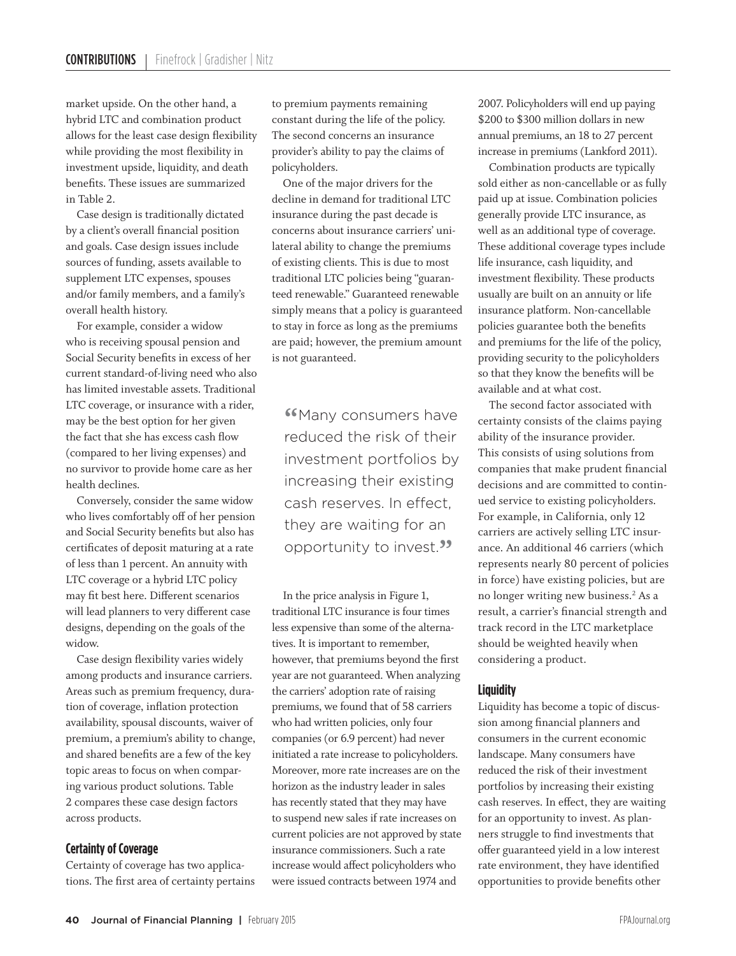market upside. On the other hand, a hybrid LTC and combination product allows for the least case design flexibility while providing the most flexibility in investment upside, liquidity, and death benefits. These issues are summarized in Table 2.

 Case design is traditionally dictated by a client's overall financial position and goals. Case design issues include sources of funding, assets available to supplement LTC expenses, spouses and/or family members, and a family's overall health history.

 For example, consider a widow who is receiving spousal pension and Social Security benefits in excess of her current standard-of-living need who also has limited investable assets. Traditional LTC coverage, or insurance with a rider, may be the best option for her given the fact that she has excess cash flow (compared to her living expenses) and no survivor to provide home care as her health declines.

 Conversely, consider the same widow who lives comfortably off of her pension and Social Security benefits but also has certificates of deposit maturing at a rate of less than 1 percent. An annuity with LTC coverage or a hybrid LTC policy may fit best here. Different scenarios will lead planners to very different case designs, depending on the goals of the widow.

 Case design flexibility varies widely among products and insurance carriers. Areas such as premium frequency, duration of coverage, inflation protection availability, spousal discounts, waiver of premium, a premium's ability to change, and shared benefits are a few of the key topic areas to focus on when comparing various product solutions. Table 2 compares these case design factors across products.

#### **Certainty of Coverage**

Certainty of coverage has two applications. The first area of certainty pertains to premium payments remaining constant during the life of the policy. The second concerns an insurance provider's ability to pay the claims of policyholders.

 One of the major drivers for the decline in demand for traditional LTC insurance during the past decade is concerns about insurance carriers' unilateral ability to change the premiums of existing clients. This is due to most traditional LTC policies being "guaranteed renewable." Guaranteed renewable simply means that a policy is guaranteed to stay in force as long as the premiums are paid; however, the premium amount is not guaranteed.

**"Many consumers have** reduced the risk of their investment portfolios by increasing their existing cash reserves. In effect, they are waiting for an opportunity to invest.<sup>99</sup>

 In the price analysis in Figure 1, traditional LTC insurance is four times less expensive than some of the alternatives. It is important to remember, however, that premiums beyond the first year are not guaranteed. When analyzing the carriers' adoption rate of raising premiums, we found that of 58 carriers who had written policies, only four companies (or 6.9 percent) had never initiated a rate increase to policyholders. Moreover, more rate increases are on the horizon as the industry leader in sales has recently stated that they may have to suspend new sales if rate increases on current policies are not approved by state insurance commissioners. Such a rate increase would affect policyholders who were issued contracts between 1974 and

2007. Policyholders will end up paying \$200 to \$300 million dollars in new annual premiums, an 18 to 27 percent increase in premiums (Lankford 2011).

 Combination products are typically sold either as non-cancellable or as fully paid up at issue. Combination policies generally provide LTC insurance, as well as an additional type of coverage. These additional coverage types include life insurance, cash liquidity, and investment flexibility. These products usually are built on an annuity or life insurance platform. Non-cancellable policies guarantee both the benefits and premiums for the life of the policy, providing security to the policyholders so that they know the benefits will be available and at what cost.

 The second factor associated with certainty consists of the claims paying ability of the insurance provider. This consists of using solutions from companies that make prudent financial decisions and are committed to continued service to existing policyholders. For example, in California, only 12 carriers are actively selling LTC insurance. An additional 46 carriers (which represents nearly 80 percent of policies in force) have existing policies, but are no longer writing new business.2 As a result, a carrier's financial strength and track record in the LTC marketplace should be weighted heavily when considering a product.

#### **Liquidity**

Liquidity has become a topic of discussion among financial planners and consumers in the current economic landscape. Many consumers have reduced the risk of their investment portfolios by increasing their existing cash reserves. In effect, they are waiting for an opportunity to invest. As planners struggle to find investments that offer guaranteed yield in a low interest rate environment, they have identified opportunities to provide benefits other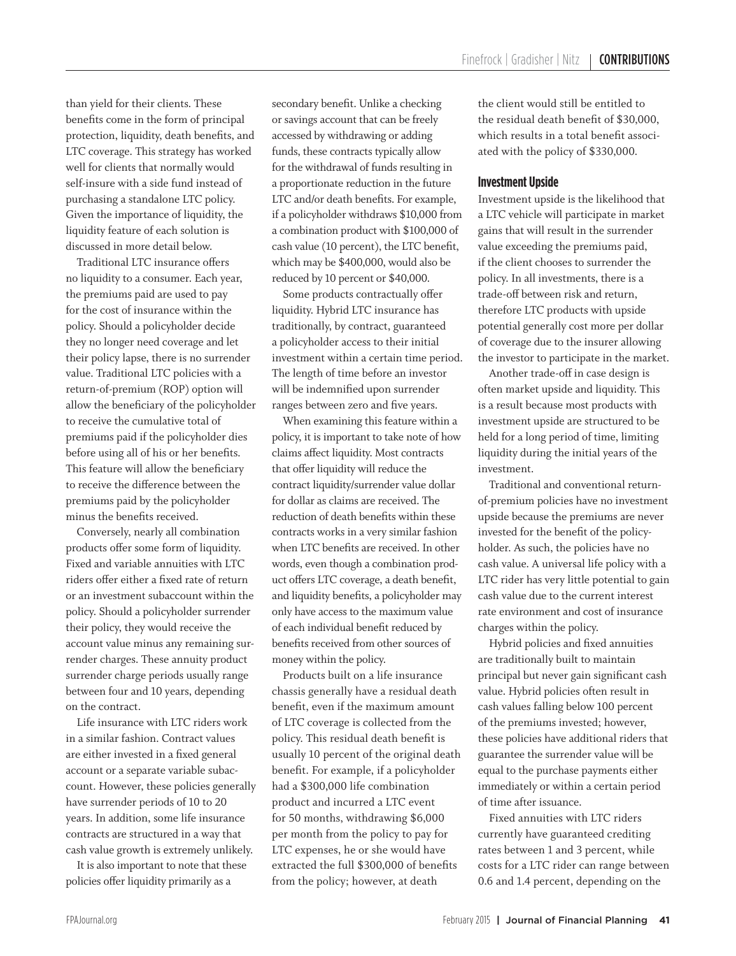than yield for their clients. These benefits come in the form of principal protection, liquidity, death benefits, and LTC coverage. This strategy has worked well for clients that normally would self-insure with a side fund instead of purchasing a standalone LTC policy. Given the importance of liquidity, the liquidity feature of each solution is discussed in more detail below.

 Traditional LTC insurance offers no liquidity to a consumer. Each year, the premiums paid are used to pay for the cost of insurance within the policy. Should a policyholder decide they no longer need coverage and let their policy lapse, there is no surrender value. Traditional LTC policies with a return-of-premium (ROP) option will allow the beneficiary of the policyholder to receive the cumulative total of premiums paid if the policyholder dies before using all of his or her benefits. This feature will allow the beneficiary to receive the difference between the premiums paid by the policyholder minus the benefits received.

 Conversely, nearly all combination products offer some form of liquidity. Fixed and variable annuities with LTC riders offer either a fixed rate of return or an investment subaccount within the policy. Should a policyholder surrender their policy, they would receive the account value minus any remaining surrender charges. These annuity product surrender charge periods usually range between four and 10 years, depending on the contract.

 Life insurance with LTC riders work in a similar fashion. Contract values are either invested in a fixed general account or a separate variable subaccount. However, these policies generally have surrender periods of 10 to 20 years. In addition, some life insurance contracts are structured in a way that cash value growth is extremely unlikely.

 It is also important to note that these policies offer liquidity primarily as a

secondary benefit. Unlike a checking or savings account that can be freely accessed by withdrawing or adding funds, these contracts typically allow for the withdrawal of funds resulting in a proportionate reduction in the future LTC and/or death benefits. For example, if a policyholder withdraws \$10,000 from a combination product with \$100,000 of cash value (10 percent), the LTC benefit, which may be \$400,000, would also be reduced by 10 percent or \$40,000.

 Some products contractually offer liquidity. Hybrid LTC insurance has traditionally, by contract, guaranteed a policyholder access to their initial investment within a certain time period. The length of time before an investor will be indemnified upon surrender ranges between zero and five years.

 When examining this feature within a policy, it is important to take note of how claims affect liquidity. Most contracts that offer liquidity will reduce the contract liquidity/surrender value dollar for dollar as claims are received. The reduction of death benefits within these contracts works in a very similar fashion when LTC benefits are received. In other words, even though a combination product offers LTC coverage, a death benefit, and liquidity benefits, a policyholder may only have access to the maximum value of each individual benefit reduced by benefits received from other sources of money within the policy.

 Products built on a life insurance chassis generally have a residual death benefit, even if the maximum amount of LTC coverage is collected from the policy. This residual death benefit is usually 10 percent of the original death benefit. For example, if a policyholder had a \$300,000 life combination product and incurred a LTC event for 50 months, withdrawing \$6,000 per month from the policy to pay for LTC expenses, he or she would have extracted the full \$300,000 of benefits from the policy; however, at death

the client would still be entitled to the residual death benefit of \$30,000, which results in a total benefit associated with the policy of \$330,000.

#### **Investment Upside**

Investment upside is the likelihood that a LTC vehicle will participate in market gains that will result in the surrender value exceeding the premiums paid, if the client chooses to surrender the policy. In all investments, there is a trade-off between risk and return, therefore LTC products with upside potential generally cost more per dollar of coverage due to the insurer allowing the investor to participate in the market.

 Another trade-off in case design is often market upside and liquidity. This is a result because most products with investment upside are structured to be held for a long period of time, limiting liquidity during the initial years of the investment.

 Traditional and conventional returnof-premium policies have no investment upside because the premiums are never invested for the benefit of the policyholder. As such, the policies have no cash value. A universal life policy with a LTC rider has very little potential to gain cash value due to the current interest rate environment and cost of insurance charges within the policy.

 Hybrid policies and fixed annuities are traditionally built to maintain principal but never gain significant cash value. Hybrid policies often result in cash values falling below 100 percent of the premiums invested; however, these policies have additional riders that guarantee the surrender value will be equal to the purchase payments either immediately or within a certain period of time after issuance.

 Fixed annuities with LTC riders currently have guaranteed crediting rates between 1 and 3 percent, while costs for a LTC rider can range between 0.6 and 1.4 percent, depending on the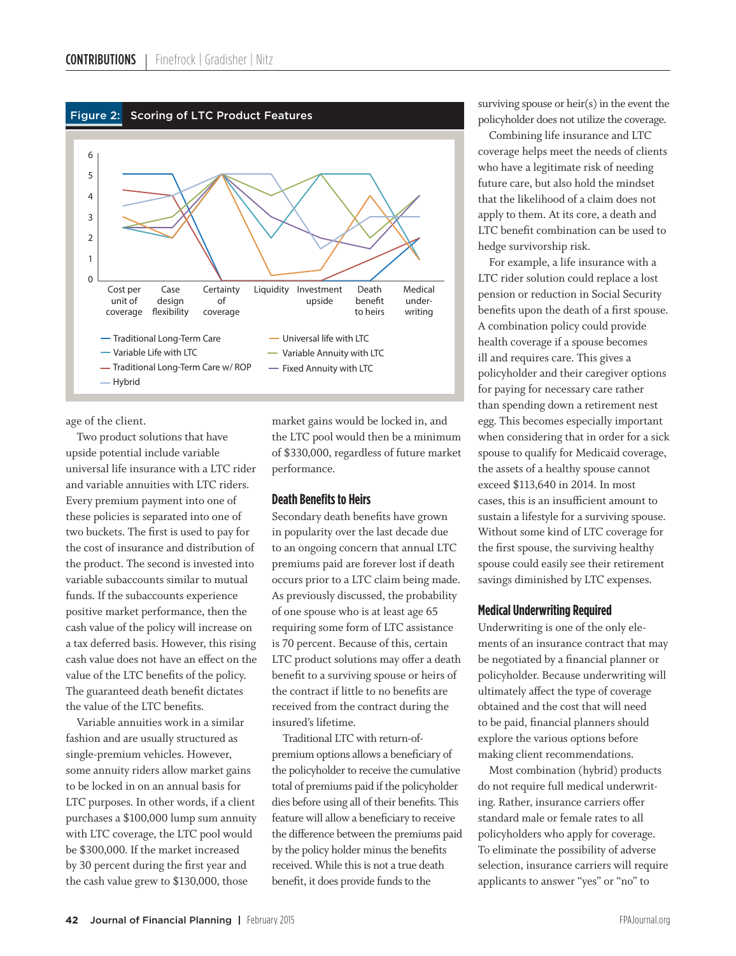

age of the client.

 Two product solutions that have upside potential include variable universal life insurance with a LTC rider and variable annuities with LTC riders. Every premium payment into one of these policies is separated into one of two buckets. The first is used to pay for the cost of insurance and distribution of the product. The second is invested into variable subaccounts similar to mutual funds. If the subaccounts experience positive market performance, then the cash value of the policy will increase on a tax deferred basis. However, this rising cash value does not have an effect on the value of the LTC benefits of the policy. The guaranteed death benefit dictates the value of the LTC benefits.

 Variable annuities work in a similar fashion and are usually structured as single-premium vehicles. However, some annuity riders allow market gains to be locked in on an annual basis for LTC purposes. In other words, if a client purchases a \$100,000 lump sum annuity with LTC coverage, the LTC pool would be \$300,000. If the market increased by 30 percent during the first year and the cash value grew to \$130,000, those

market gains would be locked in, and the LTC pool would then be a minimum of \$330,000, regardless of future market performance.

#### **Death Benefits to Heirs**

Secondary death benefits have grown in popularity over the last decade due to an ongoing concern that annual LTC premiums paid are forever lost if death occurs prior to a LTC claim being made. As previously discussed, the probability of one spouse who is at least age 65 requiring some form of LTC assistance is 70 percent. Because of this, certain LTC product solutions may offer a death benefit to a surviving spouse or heirs of the contract if little to no benefits are received from the contract during the insured's lifetime.

 Traditional LTC with return-ofpremium options allows a beneficiary of the policyholder to receive the cumulative total of premiums paid if the policyholder dies before using all of their benefits. This feature will allow a beneficiary to receive the difference between the premiums paid by the policy holder minus the benefits received. While this is not a true death benefit, it does provide funds to the

surviving spouse or heir(s) in the event the policyholder does not utilize the coverage.

 Combining life insurance and LTC coverage helps meet the needs of clients who have a legitimate risk of needing future care, but also hold the mindset that the likelihood of a claim does not apply to them. At its core, a death and LTC benefit combination can be used to hedge survivorship risk.

 For example, a life insurance with a LTC rider solution could replace a lost pension or reduction in Social Security benefits upon the death of a first spouse. A combination policy could provide health coverage if a spouse becomes ill and requires care. This gives a policyholder and their caregiver options for paying for necessary care rather than spending down a retirement nest egg. This becomes especially important when considering that in order for a sick spouse to qualify for Medicaid coverage, the assets of a healthy spouse cannot exceed \$113,640 in 2014. In most cases, this is an insufficient amount to sustain a lifestyle for a surviving spouse. Without some kind of LTC coverage for the first spouse, the surviving healthy spouse could easily see their retirement savings diminished by LTC expenses.

#### **Medical Underwriting Required**

Underwriting is one of the only elements of an insurance contract that may be negotiated by a financial planner or policyholder. Because underwriting will ultimately affect the type of coverage obtained and the cost that will need to be paid, financial planners should explore the various options before making client recommendations.

 Most combination (hybrid) products do not require full medical underwriting. Rather, insurance carriers offer standard male or female rates to all policyholders who apply for coverage. To eliminate the possibility of adverse selection, insurance carriers will require applicants to answer "yes" or "no" to